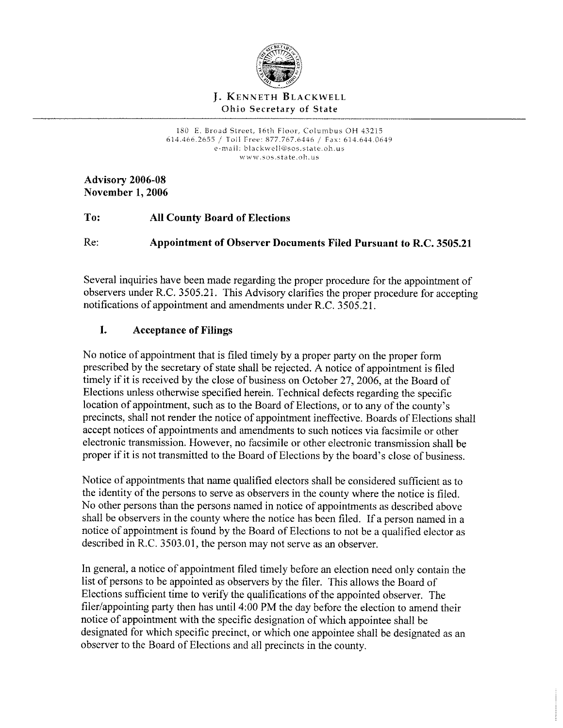

#### J. KENNETH BLACKWELL Ohio Secretary of State

180 E, Broad Street, 16th Floor, Columbus OH 43215 614.466.2655 / Toll Free: 877.767.6446 / Fax: 614.644.0649 e-mail: blackwell@sos.state.oh.us ww w. sos.state. oh.us

**Advisory 2006-08 November 1, 2006** 

#### **To: All County Board of Elections**

Re: **Appointment of Observer Documents Filed Pursuant to R.C. 3505.21** 

Several inquiries have been made regarding the proper procedure for the appointment of observers under R.C. 3505.21. This Advisory clarifies the proper procedure for accepting notifications of appointment and amendments under R.C. 3505.21.

## **I. Acceptance of Filings**

No notice of appointment that is filed timely by a proper party on the proper form prescribed by the secretary of state shall be rejected. A notice of appointment is filed timely if it is received by the close of business on October 27, 2006, at the Board of Elections unless otherwise specified herein. Technical defects regarding the specific location of appointment, such as to the Board of Elections, or to any of the county's precincts, shall not render the notice of appointment ineffective. Boards of Elections shall accept notices of appointments and amendments to such notices via facsimile or other electronic transmission. However, no facsimile or other electronic transmission shall be proper if it is not transmitted to the Board of Elections by the board's close of business.

Notice of appointments that name qualified electors shall be considered sufficient as to the identity of the persons to serve as observers in the county where the notice is filed. No other persons than the persons named in notice of appointments as described above shall be observers in the county where the notice has been filed. If a person named in a notice of appointment is found by the Board of Elections to not be a qualified elector as described in R.C. 3503.01, the person may not serve as an observer.

In general, a notice of appointment filed timely before an election need only contain the list of persons to be appointed as observers by the filer. This allows the Board of Elections sufficient time to verify the qualifications of the appointed observer. The filer/appointing party then has until 4:00 PM the day before the election to amend their notice of appointment with the specific designation of which appointee shall be designated for which specific precinct, or which one appointee shall be designated as an observer to the Board of Elections and all precincts in the county.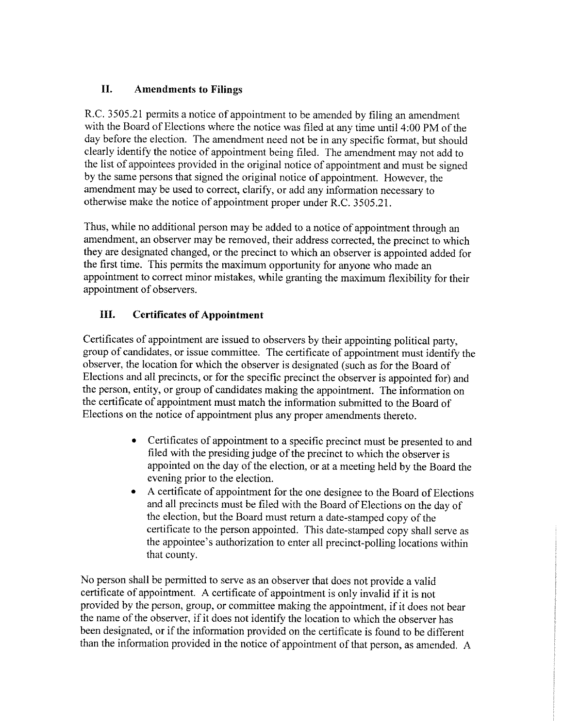### **II. Amendments to Filings**

R.C. 3505.21 permits a notice of appointment to be amended by filing an amendment with the Board of Elections where the notice was filed at any time until 4:00 PM of the day before the election. The amendment need not be in any specific format, but should clearly identify the notice of appointment being filed. The amendment may not add to the list of appointees provided in the original notice of appointment and must be signed by the same persons that signed the original notice of appointment. However, the amendment may be used to correct, clarify, or add any information necessary to otherwise make the notice of appointment proper under R.C. 3505.21.

Thus, while no additional person may be added to a notice of appointment through an amendment, an observer may be removed, their address corrected, the precinct to which they are designated changed, or the precinct to which an observer is appointed added for the first time. This permits the maximum opportunity for anyone who made an appointment to correct minor mistakes, while granting the maximum flexibility for their appointment of observers.

# **III. Certificates of Appointment**

Certificates of appointment are issued to observers by their appointing political party, group of candidates, or issue committee. The certificate of appointment must identify the observer, the location for which the observer is designated (such as for the Board of Elections and all precincts, or for the specific precinct the observer is appointed for) and the person, entity, or group of candidates making the appointment. The information on the certificate of appointment must match the information submitted to the Board of Elections on the notice of appointment plus any proper amendments thereto.

- Certificates of appointment to a specific precinct must be presented to and filed with the presiding judge of the precinct to which the observer is appointed on the day of the election, or at a meeting held by the Board the evening prior to the election.
- A certificate of appointment for the one designee to the Board of Elections and all precincts must be filed with the Board of Elections on the day of the election, but the Board must return a date-stamped copy of the certificate to the person appointed. This date-stamped copy shall serve as the appointee's authorization to enter all precinct-polling locations within that county.

No person shall be permitted to serve as an observer that does not provide a valid certificate of appointment. A certificate of appointment is only invalid if it is not provided by the person, group, or committee making the appointment, if it does not bear the name of the observer, if it does not identify the location to which the observer has been designated, or if the information provided on the certificate is found to be different than the information provided in the notice of appointment of that person, as amended. A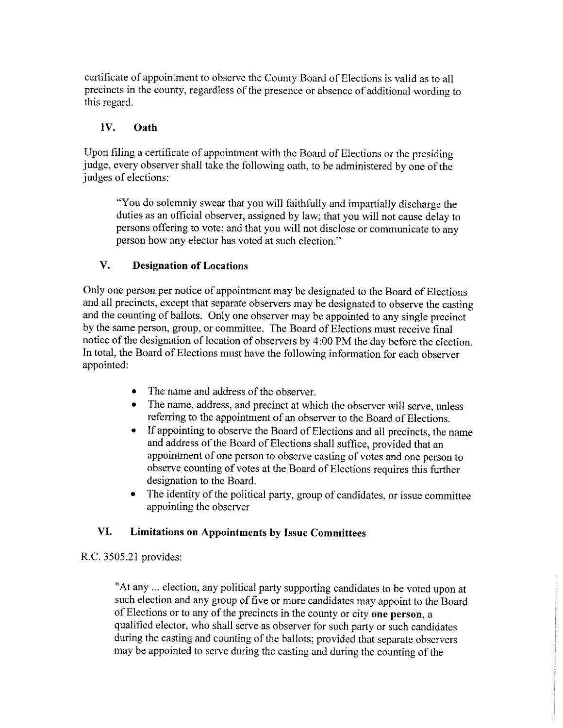certificate of appointment to observe the County Board of Elections is valid as to all precincts in the county, regardless of the presence or absence of additional wording to this regard.

### **IV. Oath**

Upon filing a certificate of appointment with the Board of Elections or the presiding judge, every observer shall take the following oath, to be administered by one of the judges of elections:

"You do solemnly swear that you will faithfully and impartially discharge the duties as an official observer, assigned by law; that you will not cause delay to persons offering to vote; and that you will not disclose or communicate to any person how any elector has voted at such election."

#### **V. Designation of Locations**

Only one person per notice of appointment may be designated to the Board of Elections and all precincts, except that separate observers may be designated to observe the casting and the counting of ballots. Only one observer may be appointed to any single precinct by the same person, group, or committee. The Board of Elections must receive final notice of the designation of location of observers by 4 :00 PM the day before the election. In total, the Board of Elections must have the following information for each observer appointed:

- The name and address of the observer.
- The name, address, and precinct at which the observer will serve, unless referring to the appointment of an observer to the Board of Elections.
- If appointing to observe the Board of Elections and all precincts, the name and address of the Board of Elections shall suffice, provided that an appointment of one person to observe casting of votes and one person to observe counting of votes at the Board of Elections requires this further designation to the Board.
- The identity of the political party, group of candidates, or issue committee appointing the observer

### **VI. Limitations on Appointments by Issue Committees**

#### R.C. 3505.21 provides:

"At any ... election, any political party supporting candidates to be voted upon at such election and any group of five or more candidates may appoint to the Board of Elections or to any of the precincts in the county or city **one person,** a qualified elector, who shall serve as observer for such party or such candidates during the casting and counting of the ballots; provided that separate observers may be appointed to serve during the casting and during the counting of the